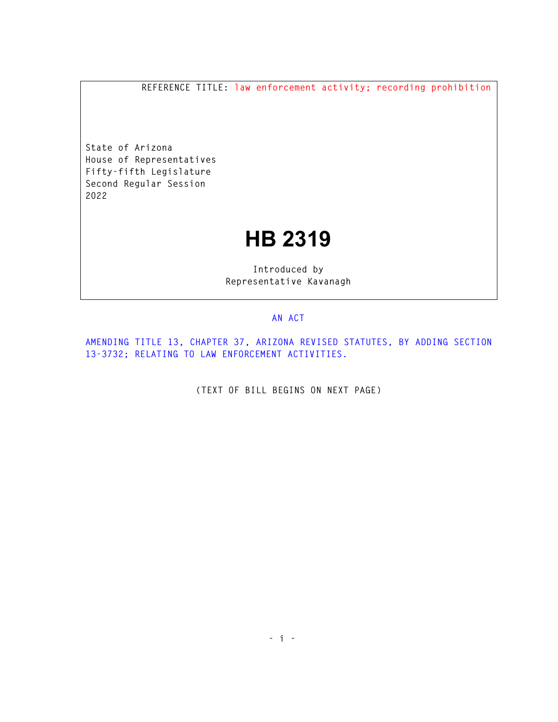**REFERENCE TITLE: law enforcement activity; recording prohibition** 

**State of Arizona House of Representatives Fifty-fifth Legislature Second Regular Session 2022** 

## **HB 2319**

**Introduced by Representative Kavanagh** 

## **AN ACT**

**AMENDING TITLE 13, CHAPTER 37, ARIZONA REVISED STATUTES, BY ADDING SECTION 13-3732; RELATING TO LAW ENFORCEMENT ACTIVITIES.** 

**(TEXT OF BILL BEGINS ON NEXT PAGE)**